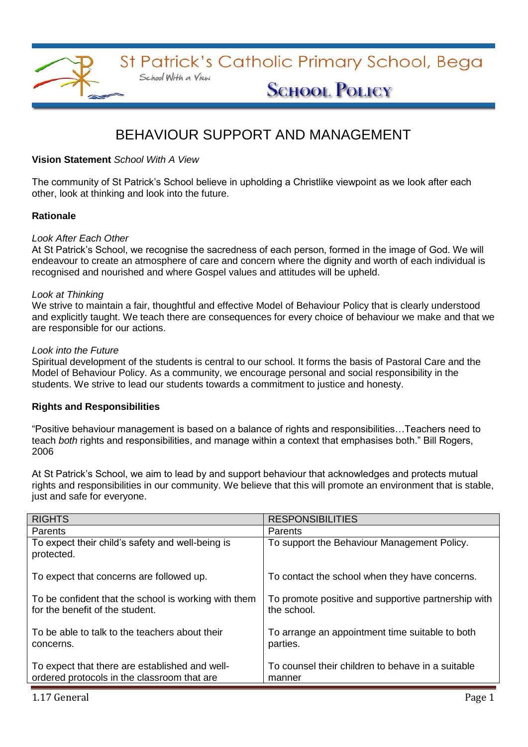

# BEHAVIOUR SUPPORT AND MANAGEMENT

### **Vision Statement** *School With A View*

The community of St Patrick's School believe in upholding a Christlike viewpoint as we look after each other, look at thinking and look into the future.

### **Rationale**

### *Look After Each Other*

At St Patrick's School, we recognise the sacredness of each person, formed in the image of God. We will endeavour to create an atmosphere of care and concern where the dignity and worth of each individual is recognised and nourished and where Gospel values and attitudes will be upheld.

### *Look at Thinking*

We strive to maintain a fair, thoughtful and effective Model of Behaviour Policy that is clearly understood and explicitly taught. We teach there are consequences for every choice of behaviour we make and that we are responsible for our actions.

### *Look into the Future*

Spiritual development of the students is central to our school. It forms the basis of Pastoral Care and the Model of Behaviour Policy. As a community, we encourage personal and social responsibility in the students. We strive to lead our students towards a commitment to justice and honesty.

### **Rights and Responsibilities**

"Positive behaviour management is based on a balance of rights and responsibilities…Teachers need to teach *both* rights and responsibilities, and manage within a context that emphasises both." Bill Rogers, 2006

At St Patrick's School, we aim to lead by and support behaviour that acknowledges and protects mutual rights and responsibilities in our community. We believe that this will promote an environment that is stable, just and safe for everyone.

| <b>RIGHTS</b>                                                                                 | <b>RESPONSIBILITIES</b>                                            |  |
|-----------------------------------------------------------------------------------------------|--------------------------------------------------------------------|--|
| Parents                                                                                       | Parents                                                            |  |
| To expect their child's safety and well-being is<br>protected.                                | To support the Behaviour Management Policy.                        |  |
| To expect that concerns are followed up.                                                      | To contact the school when they have concerns.                     |  |
| To be confident that the school is working with them<br>for the benefit of the student.       | To promote positive and supportive partnership with<br>the school. |  |
| To be able to talk to the teachers about their<br>concerns.                                   | To arrange an appointment time suitable to both<br>parties.        |  |
| To expect that there are established and well-<br>ordered protocols in the classroom that are | To counsel their children to behave in a suitable<br>manner        |  |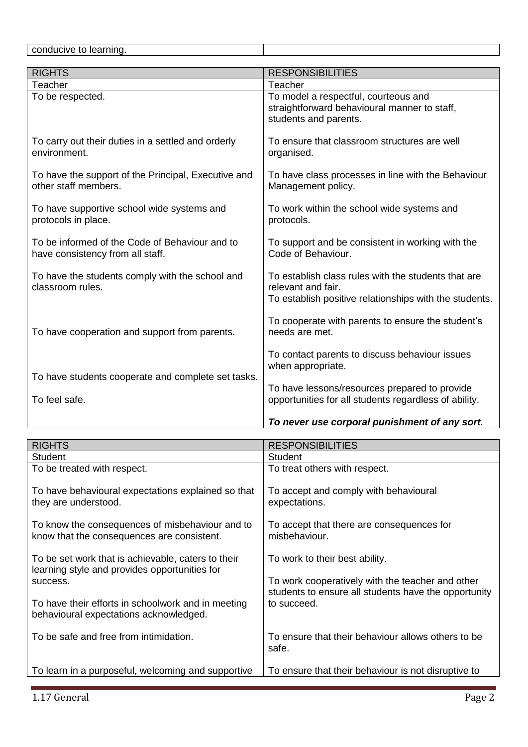conducive to learning.

| <b>RIGHTS</b>                                                                      | <b>RESPONSIBILITIES</b>                                                                                                             |  |  |
|------------------------------------------------------------------------------------|-------------------------------------------------------------------------------------------------------------------------------------|--|--|
| Teacher                                                                            | Teacher                                                                                                                             |  |  |
| To be respected.                                                                   | To model a respectful, courteous and<br>straightforward behavioural manner to staff,<br>students and parents.                       |  |  |
| To carry out their duties in a settled and orderly<br>environment.                 | To ensure that classroom structures are well<br>organised.                                                                          |  |  |
| To have the support of the Principal, Executive and<br>other staff members.        | To have class processes in line with the Behaviour<br>Management policy.                                                            |  |  |
| To have supportive school wide systems and<br>protocols in place.                  | To work within the school wide systems and<br>protocols.                                                                            |  |  |
| To be informed of the Code of Behaviour and to<br>have consistency from all staff. | To support and be consistent in working with the<br>Code of Behaviour.                                                              |  |  |
| To have the students comply with the school and<br>classroom rules.                | To establish class rules with the students that are<br>relevant and fair.<br>To establish positive relationships with the students. |  |  |
| To have cooperation and support from parents.                                      | To cooperate with parents to ensure the student's<br>needs are met.                                                                 |  |  |
| To have students cooperate and complete set tasks.                                 | To contact parents to discuss behaviour issues<br>when appropriate.                                                                 |  |  |
| To feel safe.                                                                      | To have lessons/resources prepared to provide<br>opportunities for all students regardless of ability.                              |  |  |
|                                                                                    | To never use corporal punishment of any sort.                                                                                       |  |  |

| <b>RIGHTS</b>                                                                                       | <b>RESPONSIBILITIES</b>                                                                                  |
|-----------------------------------------------------------------------------------------------------|----------------------------------------------------------------------------------------------------------|
| <b>Student</b>                                                                                      | <b>Student</b>                                                                                           |
| To be treated with respect.                                                                         | To treat others with respect.                                                                            |
| To have behavioural expectations explained so that<br>they are understood.                          | To accept and comply with behavioural<br>expectations.                                                   |
| To know the consequences of misbehaviour and to<br>know that the consequences are consistent.       | To accept that there are consequences for<br>misbehaviour.                                               |
| To be set work that is achievable, caters to their<br>learning style and provides opportunities for | To work to their best ability.                                                                           |
| success.                                                                                            | To work cooperatively with the teacher and other<br>students to ensure all students have the opportunity |
| To have their efforts in schoolwork and in meeting<br>behavioural expectations acknowledged.        | to succeed.                                                                                              |
| To be safe and free from intimidation.                                                              | To ensure that their behaviour allows others to be<br>safe.                                              |
| To learn in a purposeful, welcoming and supportive                                                  | To ensure that their behaviour is not disruptive to                                                      |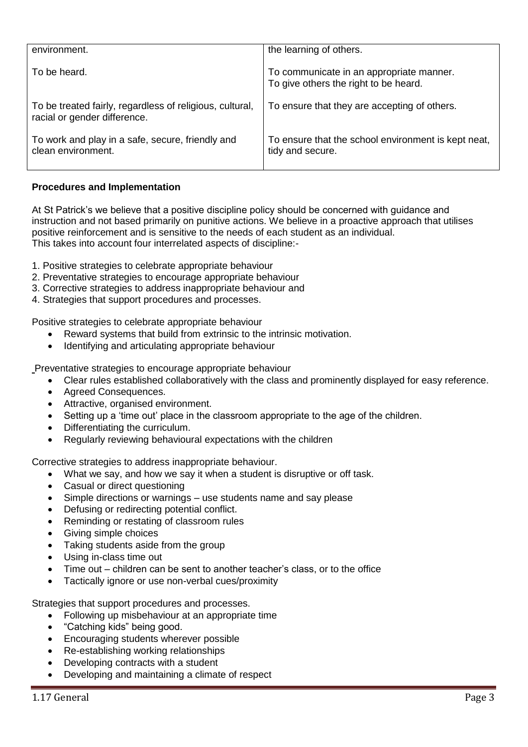| environment.                                                                             | the learning of others.                                                           |
|------------------------------------------------------------------------------------------|-----------------------------------------------------------------------------------|
| To be heard.                                                                             | To communicate in an appropriate manner.<br>To give others the right to be heard. |
| To be treated fairly, regardless of religious, cultural,<br>racial or gender difference. | To ensure that they are accepting of others.                                      |
| To work and play in a safe, secure, friendly and<br>clean environment.                   | To ensure that the school environment is kept neat,<br>tidy and secure.           |

## **Procedures and Implementation**

At St Patrick's we believe that a positive discipline policy should be concerned with guidance and instruction and not based primarily on punitive actions. We believe in a proactive approach that utilises positive reinforcement and is sensitive to the needs of each student as an individual. This takes into account four interrelated aspects of discipline:-

- 1. Positive strategies to celebrate appropriate behaviour
- 2. Preventative strategies to encourage appropriate behaviour
- 3. Corrective strategies to address inappropriate behaviour and
- 4. Strategies that support procedures and processes.

Positive strategies to celebrate appropriate behaviour

- Reward systems that build from extrinsic to the intrinsic motivation.
- Identifying and articulating appropriate behaviour

Preventative strategies to encourage appropriate behaviour

- Clear rules established collaboratively with the class and prominently displayed for easy reference.
- Agreed Consequences.
- Attractive, organised environment.
- Setting up a 'time out' place in the classroom appropriate to the age of the children.
- Differentiating the curriculum.
- Regularly reviewing behavioural expectations with the children

Corrective strategies to address inappropriate behaviour.

- What we say, and how we say it when a student is disruptive or off task.
- Casual or direct questioning
- Simple directions or warnings use students name and say please
- Defusing or redirecting potential conflict.
- Reminding or restating of classroom rules
- Giving simple choices
- Taking students aside from the group
- Using in-class time out
- Time out children can be sent to another teacher's class, or to the office
- Tactically ignore or use non-verbal cues/proximity

Strategies that support procedures and processes.

- Following up misbehaviour at an appropriate time
- "Catching kids" being good.
- Encouraging students wherever possible
- Re-establishing working relationships
- Developing contracts with a student
- Developing and maintaining a climate of respect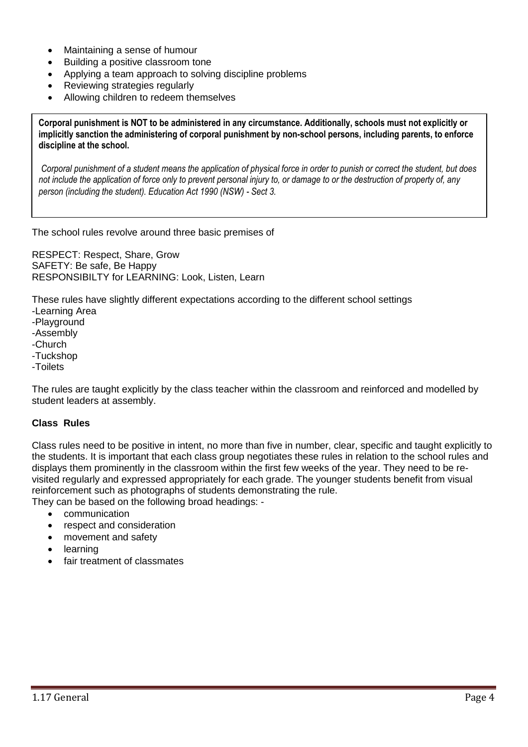- Maintaining a sense of humour
- Building a positive classroom tone
- Applying a team approach to solving discipline problems
- Reviewing strategies regularly
- Allowing children to redeem themselves

**Corporal punishment is NOT to be administered in any circumstance. Additionally, schools must not explicitly or implicitly sanction the administering of corporal punishment by non-school persons, including parents, to enforce discipline at the school.**

*Corporal punishment of a student means the application of physical force in order to punish or correct the student, but does not include the application of force only to prevent personal injury to, or damage to or the destruction of property of, any person (including the student). Education Act 1990 (NSW) - Sect 3.*

The school rules revolve around three basic premises of

RESPECT: Respect, Share, Grow SAFETY: Be safe, Be Happy RESPONSIBILTY for LEARNING: Look, Listen, Learn

These rules have slightly different expectations according to the different school settings -Learning Area -Playground -Assembly -Church -Tuckshop -Toilets

The rules are taught explicitly by the class teacher within the classroom and reinforced and modelled by student leaders at assembly.

### **Class Rules**

**School Rules**

Class rules need to be positive in intent, no more than five in number, clear, specific and taught explicitly to the students. It is important that each class group negotiates these rules in relation to the school rules and displays them prominently in the classroom within the first few weeks of the year. They need to be revisited regularly and expressed appropriately for each grade. The younger students benefit from visual reinforcement such as photographs of students demonstrating the rule. They can be based on the following broad headings: -

- communication
- respect and consideration
- movement and safety
- learning
- fair treatment of classmates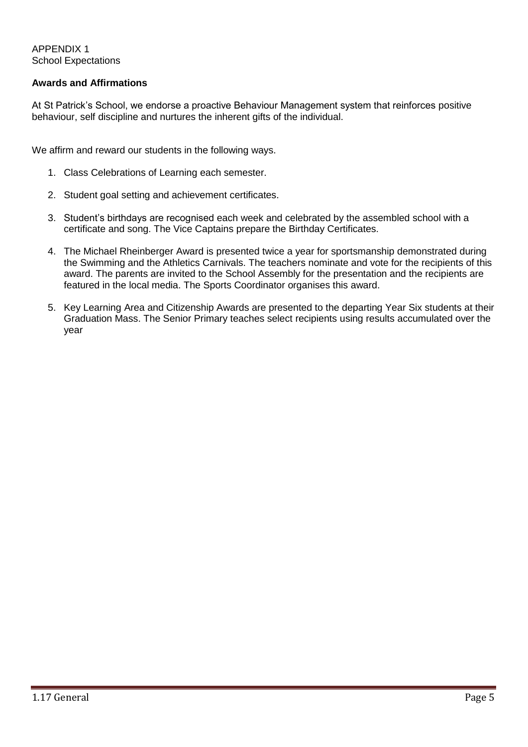APPENDIX 1 School Expectations

### **Awards and Affirmations**

At St Patrick's School, we endorse a proactive Behaviour Management system that reinforces positive behaviour, self discipline and nurtures the inherent gifts of the individual.

We affirm and reward our students in the following ways.

- 1. Class Celebrations of Learning each semester.
- 2. Student goal setting and achievement certificates.
- 3. Student's birthdays are recognised each week and celebrated by the assembled school with a certificate and song. The Vice Captains prepare the Birthday Certificates.
- 4. The Michael Rheinberger Award is presented twice a year for sportsmanship demonstrated during the Swimming and the Athletics Carnivals. The teachers nominate and vote for the recipients of this award. The parents are invited to the School Assembly for the presentation and the recipients are featured in the local media. The Sports Coordinator organises this award.
- 5. Key Learning Area and Citizenship Awards are presented to the departing Year Six students at their Graduation Mass. The Senior Primary teaches select recipients using results accumulated over the year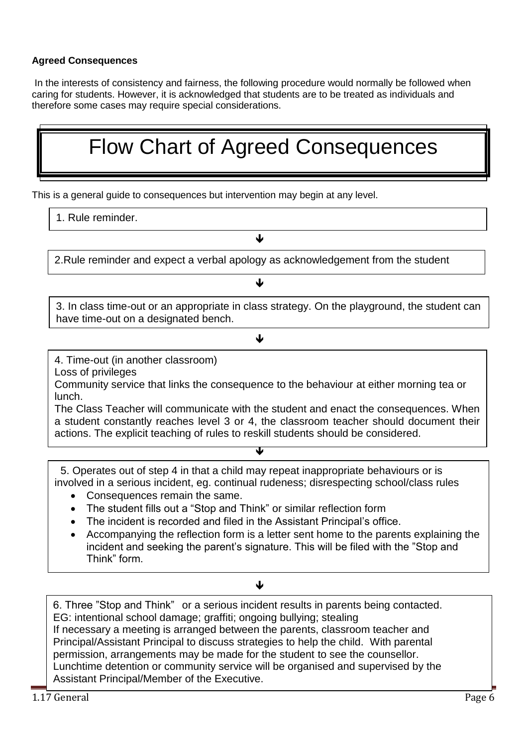# **Agreed Consequences**

In the interests of consistency and fairness, the following procedure would normally be followed when caring for students. However, it is acknowledged that students are to be treated as individuals and therefore some cases may require special considerations.

# Flow Chart of Agreed Consequences

This is a general guide to consequences but intervention may begin at any level.

# 1. Rule reminder.

2.Rule reminder and expect a verbal apology as acknowledgement from the student

↓

↓

 $\overline{a}$ 3. In class time-out or an appropriate in class strategy. On the playground, the student can have time-out on a designated bench.

### J

4. Time-out (in another classroom)

 $\overline{a}$ 

Loss of privileges

Community service that links the consequence to the behaviour at either morning tea or lunch.

The Class Teacher will communicate with the student and enact the consequences. When a student constantly reaches level 3 or 4, the classroom teacher should document their actions. The explicit teaching of rules to reskill students should be considered.

 5. Operates out of step 4 in that a child may repeat inappropriate behaviours or is involved in a serious incident, eg. continual rudeness; disrespecting school/class rules

ᅚ

- Consequences remain the same.
- The student fills out a "Stop and Think" or similar reflection form
- The incident is recorded and filed in the Assistant Principal's office.
- Accompanying the reflection form is a letter sent home to the parents explaining the incident and seeking the parent's signature. This will be filed with the "Stop and Think" form.

### ↓

6. Three "Stop and Think" or a serious incident results in parents being contacted. EG: intentional school damage; graffiti; ongoing bullying; stealing If necessary a meeting is arranged between the parents, classroom teacher and Principal/Assistant Principal to discuss strategies to help the child. With parental permission, arrangements may be made for the student to see the counsellor. Lunchtime detention or community service will be organised and supervised by the Assistant Principal/Member of the Executive.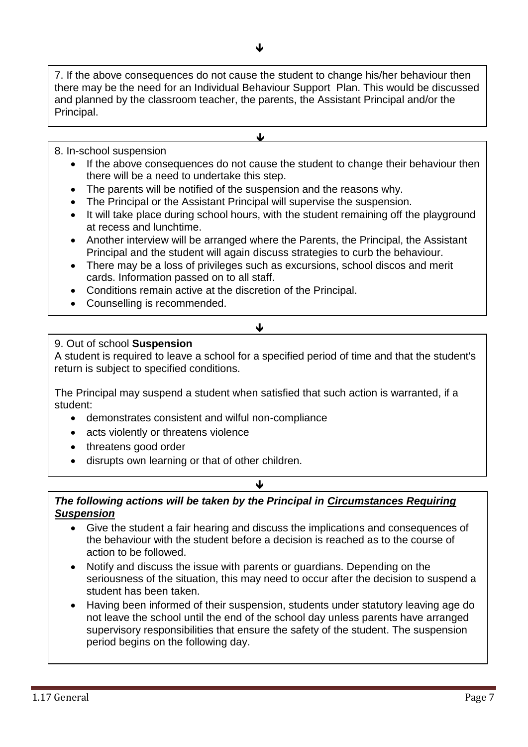7. If the above consequences do not cause the student to change his/her behaviour then there may be the need for an Individual Behaviour Support Plan. This would be discussed and planned by the classroom teacher, the parents, the Assistant Principal and/or the Principal.

J.

## 8. In-school suspension

- If the above consequences do not cause the student to change their behaviour then there will be a need to undertake this step.
- The parents will be notified of the suspension and the reasons why.

j

- The Principal or the Assistant Principal will supervise the suspension.
- It will take place during school hours, with the student remaining off the playground at recess and lunchtime.
- Another interview will be arranged where the Parents, the Principal, the Assistant Principal and the student will again discuss strategies to curb the behaviour.
- There may be a loss of privileges such as excursions, school discos and merit cards. Information passed on to all staff.
- Conditions remain active at the discretion of the Principal.
- Counselling is recommended.

# 9. Out of school **Suspension**

A student is required to leave a school for a specified period of time and that the student's return is subject to specified conditions.

 $\bigcup$ 

The Principal may suspend a student when satisfied that such action is warranted, if a student:

- demonstrates consistent and wilful non-compliance
- acts violently or threatens violence
- threatens good order
- disrupts own learning or that of other children.

### J

# *The following actions will be taken by the Principal in Circumstances Requiring Suspension*

- Give the student a fair hearing and discuss the implications and consequences of the behaviour with the student before a decision is reached as to the course of action to be followed.
- Notify and discuss the issue with parents or guardians. Depending on the seriousness of the situation, this may need to occur after the decision to suspend a student has been taken.
- Having been informed of their suspension, students under statutory leaving age do not leave the school until the end of the school day unless parents have arranged supervisory responsibilities that ensure the safety of the student. The suspension period begins on the following day.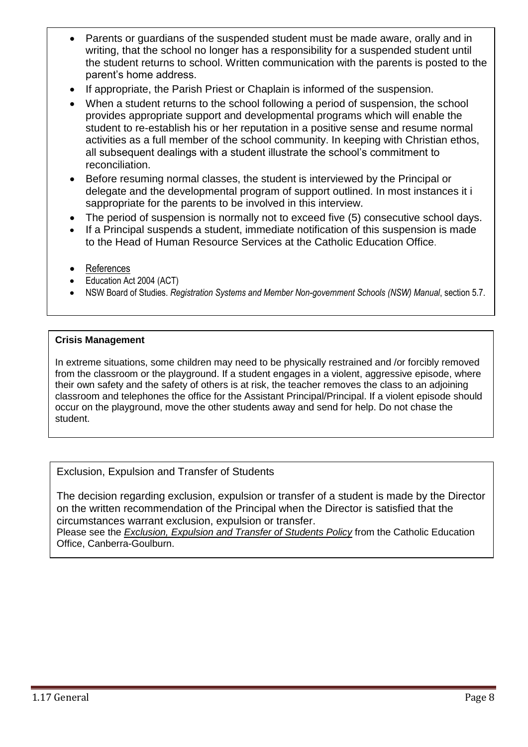- Parents or guardians of the suspended student must be made aware, orally and in writing, that the school no longer has a responsibility for a suspended student until the student returns to school. Written communication with the parents is posted to the parent's home address.
- If appropriate, the Parish Priest or Chaplain is informed of the suspension.
- When a student returns to the school following a period of suspension, the school provides appropriate support and developmental programs which will enable the student to re-establish his or her reputation in a positive sense and resume normal activities as a full member of the school community. In keeping with Christian ethos, all subsequent dealings with a student illustrate the school's commitment to reconciliation.
- Before resuming normal classes, the student is interviewed by the Principal or delegate and the developmental program of support outlined. In most instances it i sappropriate for the parents to be involved in this interview.
- The period of suspension is normally not to exceed five (5) consecutive school days.
- If a Principal suspends a student, immediate notification of this suspension is made to the Head of Human Resource Services at the Catholic Education Office.
- References
- Education Act 2004 (ACT)
- NSW Board of Studies. *Registration Systems and Member Non-government Schools (NSW) Manual*, section 5.7.

## **Crisis Management**

In extreme situations, some children may need to be physically restrained and /or forcibly removed from the classroom or the playground. If a student engages in a violent, aggressive episode, where their own safety and the safety of others is at risk, the teacher removes the class to an adjoining classroom and telephones the office for the Assistant Principal/Principal. If a violent episode should occur on the playground, move the other students away and send for help. Do not chase the student.

Exclusion, Expulsion and Transfer of Students

The decision regarding exclusion, expulsion or transfer of a student is made by the Director on the written recommendation of the Principal when the Director is satisfied that the circumstances warrant exclusion, expulsion or transfer.

Please see the *Exclusion, Expulsion and Transfer of Students Policy* from the Catholic Education Office, Canberra-Goulburn.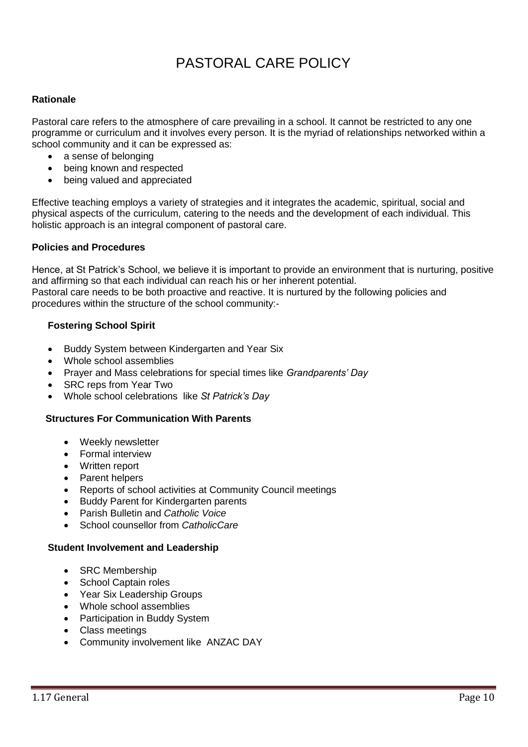# PASTORAL CARE POLICY

### **Rationale**

Pastoral care refers to the atmosphere of care prevailing in a school. It cannot be restricted to any one programme or curriculum and it involves every person. It is the myriad of relationships networked within a school community and it can be expressed as:

- a sense of belonging
- being known and respected
- being valued and appreciated

Effective teaching employs a variety of strategies and it integrates the academic, spiritual, social and physical aspects of the curriculum, catering to the needs and the development of each individual. This holistic approach is an integral component of pastoral care.

### **Policies and Procedures**

Hence, at St Patrick's School, we believe it is important to provide an environment that is nurturing, positive and affirming so that each individual can reach his or her inherent potential. Pastoral care needs to be both proactive and reactive. It is nurtured by the following policies and procedures within the structure of the school community:-

### **Fostering School Spirit**

- Buddy System between Kindergarten and Year Six
- Whole school assemblies
- Prayer and Mass celebrations for special times like *Grandparents' Day*
- SRC reps from Year Two
- Whole school celebrations like *St Patrick's Day*

#### **Structures For Communication With Parents**

- Weekly newsletter
- Formal interview
- Written report
- Parent helpers
- Reports of school activities at Community Council meetings
- Buddy Parent for Kindergarten parents
- Parish Bulletin and *Catholic Voice*
- School counsellor from *CatholicCare*

#### **Student Involvement and Leadership**

- SRC Membership
- School Captain roles
- Year Six Leadership Groups
- Whole school assemblies
- Participation in Buddy System
- Class meetings
- Community involvement like ANZAC DAY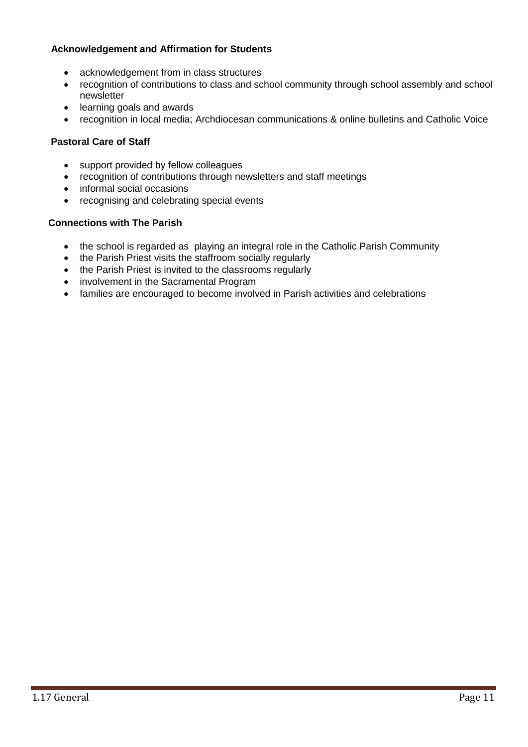## **Acknowledgement and Affirmation for Students**

- acknowledgement from in class structures
- recognition of contributions to class and school community through school assembly and school newsletter
- learning goals and awards
- recognition in local media; Archdiocesan communications & online bulletins and Catholic Voice

## **Pastoral Care of Staff**

- support provided by fellow colleagues
- recognition of contributions through newsletters and staff meetings
- informal social occasions
- recognising and celebrating special events

### **Connections with The Parish**

- the school is regarded as playing an integral role in the Catholic Parish Community
- the Parish Priest visits the staffroom socially regularly
- the Parish Priest is invited to the classrooms regularly
- involvement in the Sacramental Program
- families are encouraged to become involved in Parish activities and celebrations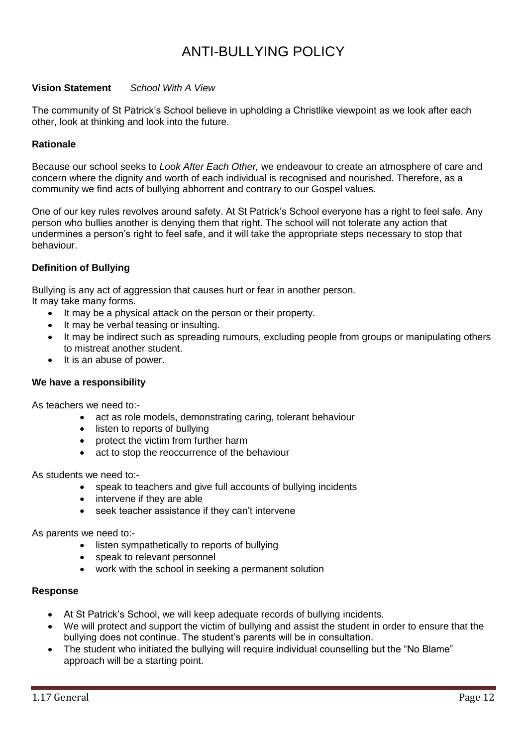# ANTI-BULLYING POLICY

### **Vision Statement** *School With A View*

The community of St Patrick's School believe in upholding a Christlike viewpoint as we look after each other, look at thinking and look into the future.

### **Rationale**

Because our school seeks to *Look After Each Other,* we endeavour to create an atmosphere of care and concern where the dignity and worth of each individual is recognised and nourished. Therefore, as a community we find acts of bullying abhorrent and contrary to our Gospel values.

One of our key rules revolves around safety. At St Patrick's School everyone has a right to feel safe. Any person who bullies another is denying them that right. The school will not tolerate any action that undermines a person's right to feel safe, and it will take the appropriate steps necessary to stop that behaviour.

### **Definition of Bullying**

Bullying is any act of aggression that causes hurt or fear in another person.

It may take many forms.

- It may be a physical attack on the person or their property.
- It may be verbal teasing or insulting.
- It may be indirect such as spreading rumours, excluding people from groups or manipulating others to mistreat another student.
- $\bullet$  It is an abuse of power.

#### **We have a responsibility**

As teachers we need to:-

- act as role models, demonstrating caring, tolerant behaviour
- listen to reports of bullying
- protect the victim from further harm
- act to stop the reoccurrence of the behaviour

As students we need to:-

- speak to teachers and give full accounts of bullying incidents
- intervene if they are able
- seek teacher assistance if they can't intervene

As parents we need to:-

- listen sympathetically to reports of bullying
- speak to relevant personnel
- work with the school in seeking a permanent solution

#### **Response**

- At St Patrick's School, we will keep adequate records of bullying incidents.
- We will protect and support the victim of bullying and assist the student in order to ensure that the bullying does not continue. The student's parents will be in consultation.
- The student who initiated the bullying will require individual counselling but the "No Blame" approach will be a starting point.